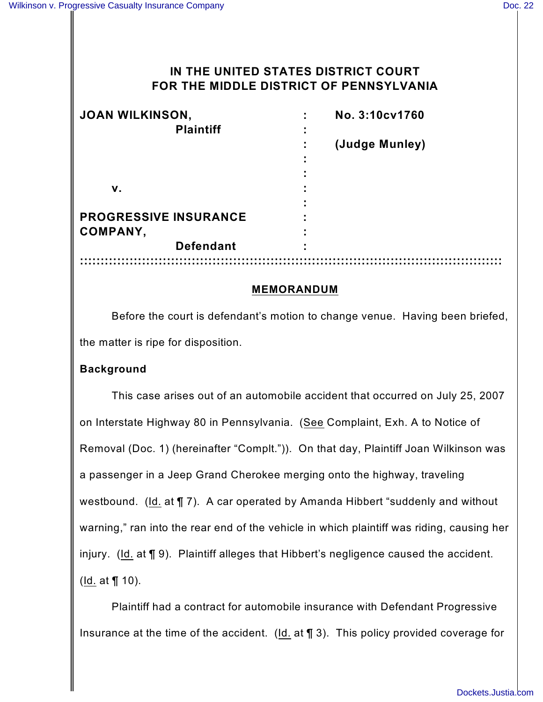# **IN THE UNITED STATES DISTRICT COURT FOR THE MIDDLE DISTRICT OF PENNSYLVANIA**

| <b>JOAN WILKINSON,</b>       |                | No. 3:10cv1760 |
|------------------------------|----------------|----------------|
| <b>Plaintiff</b>             | $\blacksquare$ |                |
|                              |                | (Judge Munley) |
|                              |                |                |
|                              |                |                |
| v.                           |                |                |
|                              |                |                |
| <b>PROGRESSIVE INSURANCE</b> |                |                |
| <b>COMPANY,</b>              |                |                |
| <b>Defendant</b>             |                |                |
|                              |                |                |

### **MEMORANDUM**

Before the court is defendant's motion to change venue. Having been briefed, the matter is ripe for disposition.

### **Background**

This case arises out of an automobile accident that occurred on July 25, 2007 on Interstate Highway 80 in Pennsylvania. (See Complaint, Exh. A to Notice of Removal (Doc. 1) (hereinafter "Complt.")). On that day, Plaintiff Joan Wilkinson was a passenger in a Jeep Grand Cherokee merging onto the highway, traveling westbound. (Id. at  $\P$  7). A car operated by Amanda Hibbert "suddenly and without warning," ran into the rear end of the vehicle in which plaintiff was riding, causing her injury. (Id. at ¶ 9). Plaintiff alleges that Hibbert's negligence caused the accident. (Id. at ¶ 10).

Plaintiff had a contract for automobile insurance with Defendant Progressive Insurance at the time of the accident. (Id. at ¶ 3). This policy provided coverage for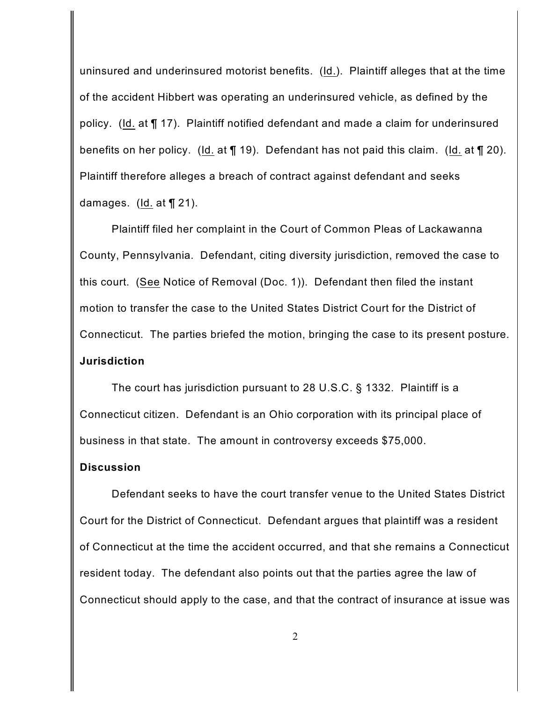uninsured and underinsured motorist benefits. (Id.). Plaintiff alleges that at the time of the accident Hibbert was operating an underinsured vehicle, as defined by the policy. (Id. at ¶ 17). Plaintiff notified defendant and made a claim for underinsured benefits on her policy. (Id. at  $\P$  19). Defendant has not paid this claim. (Id. at  $\P$  20). Plaintiff therefore alleges a breach of contract against defendant and seeks damages. (Id. at  $\P$  21).

Plaintiff filed her complaint in the Court of Common Pleas of Lackawanna County, Pennsylvania. Defendant, citing diversity jurisdiction, removed the case to this court. (See Notice of Removal (Doc. 1)). Defendant then filed the instant motion to transfer the case to the United States District Court for the District of Connecticut. The parties briefed the motion, bringing the case to its present posture. **Jurisdiction**

The court has jurisdiction pursuant to 28 U.S.C. § 1332. Plaintiff is a Connecticut citizen. Defendant is an Ohio corporation with its principal place of business in that state. The amount in controversy exceeds \$75,000.

## **Discussion**

Defendant seeks to have the court transfer venue to the United States District Court for the District of Connecticut. Defendant argues that plaintiff was a resident of Connecticut at the time the accident occurred, and that she remains a Connecticut resident today. The defendant also points out that the parties agree the law of Connecticut should apply to the case, and that the contract of insurance at issue was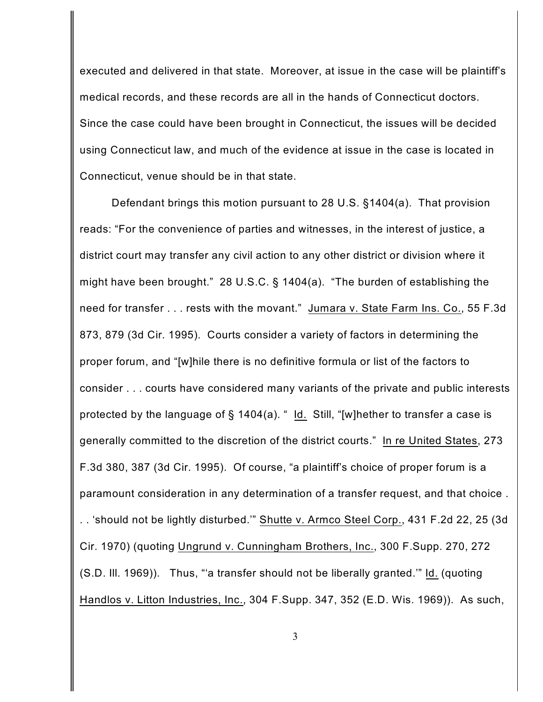executed and delivered in that state. Moreover, at issue in the case will be plaintiff's medical records, and these records are all in the hands of Connecticut doctors. Since the case could have been brought in Connecticut, the issues will be decided using Connecticut law, and much of the evidence at issue in the case is located in Connecticut, venue should be in that state.

Defendant brings this motion pursuant to 28 U.S. §1404(a). That provision reads: "For the convenience of parties and witnesses, in the interest of justice, a district court may transfer any civil action to any other district or division where it might have been brought." 28 U.S.C. § 1404(a). "The burden of establishing the need for transfer . . . rests with the movant." Jumara v. State Farm Ins. Co., 55 F.3d 873, 879 (3d Cir. 1995). Courts consider a variety of factors in determining the proper forum, and "[w]hile there is no definitive formula or list of the factors to consider . . . courts have considered many variants of the private and public interests protected by the language of § 1404(a). " Id. Still, "[w]hether to transfer a case is generally committed to the discretion of the district courts." In re United States, 273 F.3d 380, 387 (3d Cir. 1995). Of course, "a plaintiff's choice of proper forum is a paramount consideration in any determination of a transfer request, and that choice . . . 'should not be lightly disturbed.'" Shutte v. Armco Steel Corp., 431 F.2d 22, 25 (3d Cir. 1970) (quoting Ungrund v. Cunningham Brothers, Inc., 300 F.Supp. 270, 272 (S.D. Ill. 1969)). Thus, "'a transfer should not be liberally granted.'" Id. (quoting Handlos v. Litton Industries, Inc., 304 F.Supp. 347, 352 (E.D. Wis. 1969)). As such,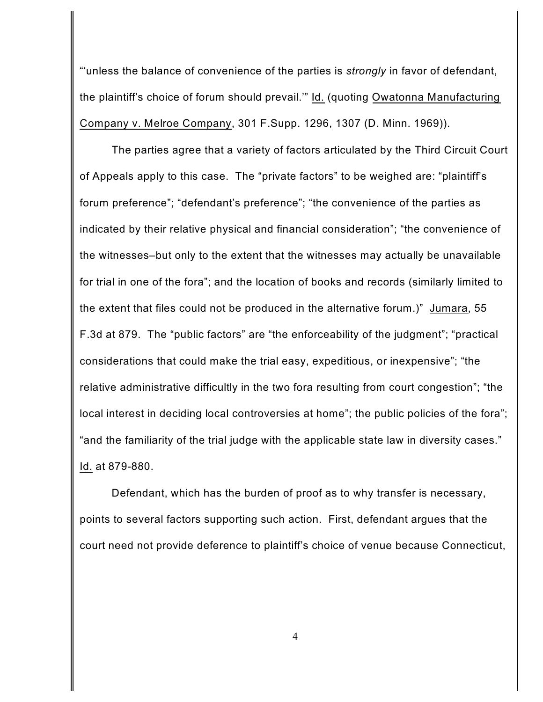"'unless the balance of convenience of the parties is *strongly* in favor of defendant, the plaintiff's choice of forum should prevail.'" Id. (quoting Owatonna Manufacturing Company v. Melroe Company, 301 F.Supp. 1296, 1307 (D. Minn. 1969)).

The parties agree that a variety of factors articulated by the Third Circuit Court of Appeals apply to this case. The "private factors" to be weighed are: "plaintiff's forum preference"; "defendant's preference"; "the convenience of the parties as indicated by their relative physical and financial consideration"; "the convenience of the witnesses–but only to the extent that the witnesses may actually be unavailable for trial in one of the fora"; and the location of books and records (similarly limited to the extent that files could not be produced in the alternative forum.)" Jumara, 55 F.3d at 879. The "public factors" are "the enforceability of the judgment"; "practical considerations that could make the trial easy, expeditious, or inexpensive"; "the relative administrative difficultly in the two fora resulting from court congestion"; "the local interest in deciding local controversies at home"; the public policies of the fora"; "and the familiarity of the trial judge with the applicable state law in diversity cases." Id. at 879-880.

Defendant, which has the burden of proof as to why transfer is necessary, points to several factors supporting such action. First, defendant argues that the court need not provide deference to plaintiff's choice of venue because Connecticut,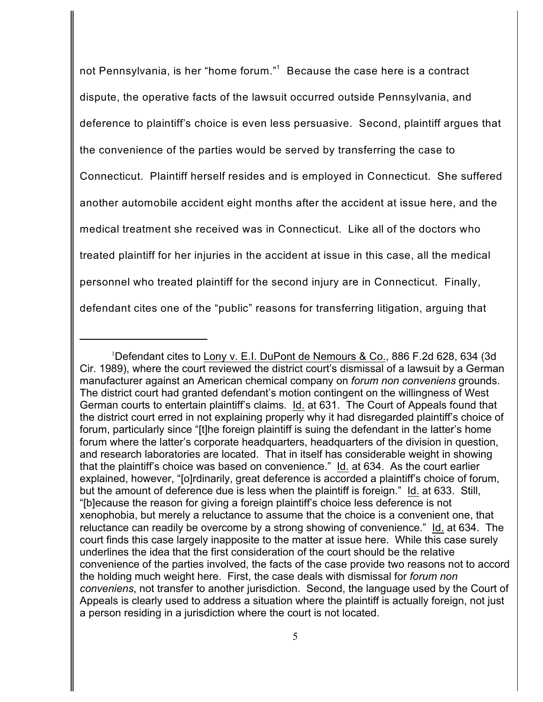not Pennsylvania, is her "home forum."<sup>1</sup> Because the case here is a contract dispute, the operative facts of the lawsuit occurred outside Pennsylvania, and deference to plaintiff's choice is even less persuasive. Second, plaintiff argues that the convenience of the parties would be served by transferring the case to Connecticut. Plaintiff herself resides and is employed in Connecticut. She suffered another automobile accident eight months after the accident at issue here, and the medical treatment she received was in Connecticut. Like all of the doctors who treated plaintiff for her injuries in the accident at issue in this case, all the medical personnel who treated plaintiff for the second injury are in Connecticut. Finally, defendant cites one of the "public" reasons for transferring litigation, arguing that

<sup>&</sup>lt;sup>1</sup>Defendant cites to Lony v. E.I. DuPont de Nemours & Co., 886 F.2d 628, 634 (3d Cir. 1989), where the court reviewed the district court's dismissal of a lawsuit by a German manufacturer against an American chemical company on *forum non conveniens* grounds. The district court had granted defendant's motion contingent on the willingness of West German courts to entertain plaintiff's claims. Id. at 631. The Court of Appeals found that the district court erred in not explaining properly why it had disregarded plaintiff's choice of forum, particularly since "[t]he foreign plaintiff is suing the defendant in the latter's home forum where the latter's corporate headquarters, headquarters of the division in question, and research laboratories are located. That in itself has considerable weight in showing that the plaintiff's choice was based on convenience." Id. at 634. As the court earlier explained, however, "[o]rdinarily, great deference is accorded a plaintiff's choice of forum, but the amount of deference due is less when the plaintiff is foreign." Id. at 633. Still, "[b]ecause the reason for giving a foreign plaintiff's choice less deference is not xenophobia, but merely a reluctance to assume that the choice is a convenient one, that reluctance can readily be overcome by a strong showing of convenience." Id. at 634. The court finds this case largely inapposite to the matter at issue here. While this case surely underlines the idea that the first consideration of the court should be the relative convenience of the parties involved, the facts of the case provide two reasons not to accord the holding much weight here. First, the case deals with dismissal for *forum non conveniens*, not transfer to another jurisdiction. Second, the language used by the Court of Appeals is clearly used to address a situation where the plaintiff is actually foreign, not just a person residing in a jurisdiction where the court is not located.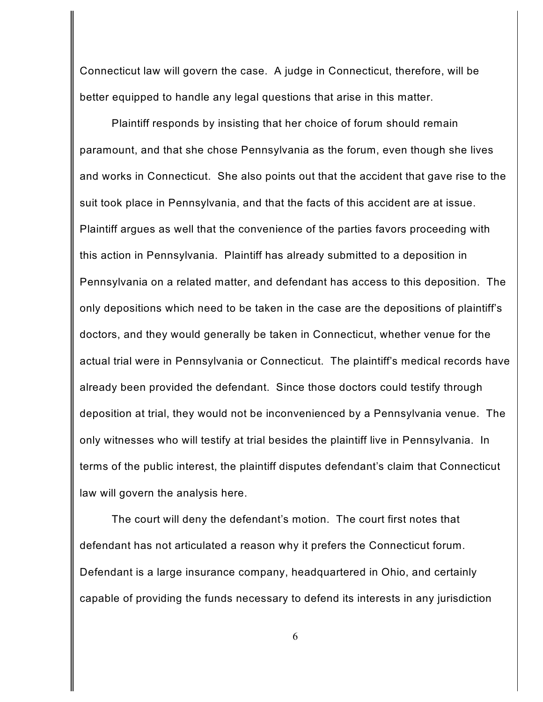Connecticut law will govern the case. A judge in Connecticut, therefore, will be better equipped to handle any legal questions that arise in this matter.

Plaintiff responds by insisting that her choice of forum should remain paramount, and that she chose Pennsylvania as the forum, even though she lives and works in Connecticut. She also points out that the accident that gave rise to the suit took place in Pennsylvania, and that the facts of this accident are at issue. Plaintiff argues as well that the convenience of the parties favors proceeding with this action in Pennsylvania. Plaintiff has already submitted to a deposition in Pennsylvania on a related matter, and defendant has access to this deposition. The only depositions which need to be taken in the case are the depositions of plaintiff's doctors, and they would generally be taken in Connecticut, whether venue for the actual trial were in Pennsylvania or Connecticut. The plaintiff's medical records have already been provided the defendant. Since those doctors could testify through deposition at trial, they would not be inconvenienced by a Pennsylvania venue. The only witnesses who will testify at trial besides the plaintiff live in Pennsylvania. In terms of the public interest, the plaintiff disputes defendant's claim that Connecticut law will govern the analysis here.

The court will deny the defendant's motion. The court first notes that defendant has not articulated a reason why it prefers the Connecticut forum. Defendant is a large insurance company, headquartered in Ohio, and certainly capable of providing the funds necessary to defend its interests in any jurisdiction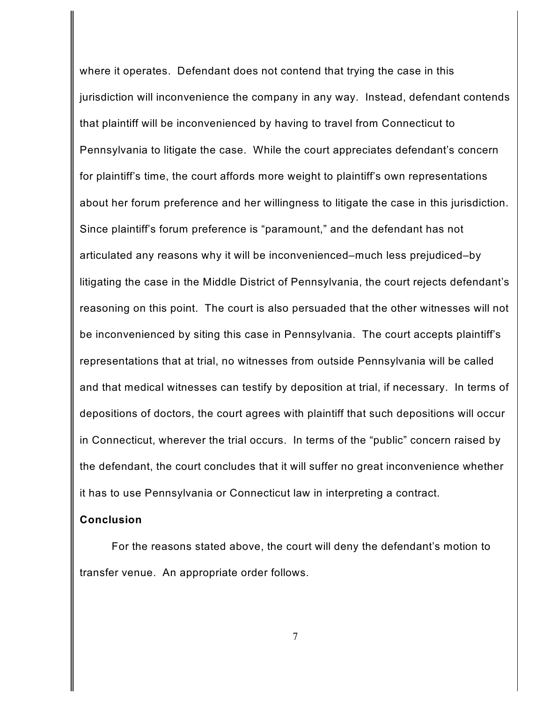where it operates. Defendant does not contend that trying the case in this jurisdiction will inconvenience the company in any way. Instead, defendant contends that plaintiff will be inconvenienced by having to travel from Connecticut to Pennsylvania to litigate the case. While the court appreciates defendant's concern for plaintiff's time, the court affords more weight to plaintiff's own representations about her forum preference and her willingness to litigate the case in this jurisdiction. Since plaintiff's forum preference is "paramount," and the defendant has not articulated any reasons why it will be inconvenienced–much less prejudiced–by litigating the case in the Middle District of Pennsylvania, the court rejects defendant's reasoning on this point. The court is also persuaded that the other witnesses will not be inconvenienced by siting this case in Pennsylvania. The court accepts plaintiff's representations that at trial, no witnesses from outside Pennsylvania will be called and that medical witnesses can testify by deposition at trial, if necessary. In terms of depositions of doctors, the court agrees with plaintiff that such depositions will occur in Connecticut, wherever the trial occurs. In terms of the "public" concern raised by the defendant, the court concludes that it will suffer no great inconvenience whether it has to use Pennsylvania or Connecticut law in interpreting a contract.

## **Conclusion**

For the reasons stated above, the court will deny the defendant's motion to transfer venue. An appropriate order follows.